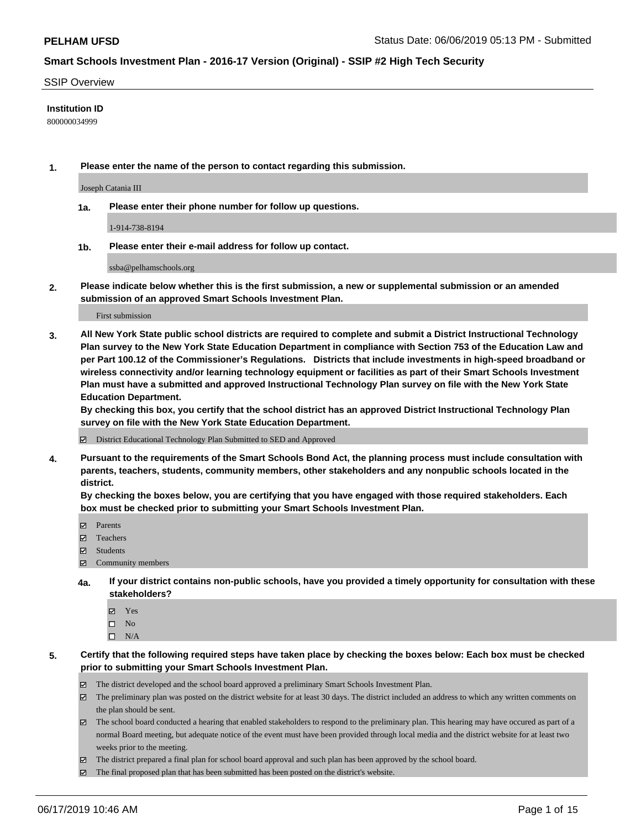#### SSIP Overview

#### **Institution ID**

800000034999

**1. Please enter the name of the person to contact regarding this submission.**

Joseph Catania III

**1a. Please enter their phone number for follow up questions.**

1-914-738-8194

**1b. Please enter their e-mail address for follow up contact.**

ssba@pelhamschools.org

**2. Please indicate below whether this is the first submission, a new or supplemental submission or an amended submission of an approved Smart Schools Investment Plan.**

First submission

**3. All New York State public school districts are required to complete and submit a District Instructional Technology Plan survey to the New York State Education Department in compliance with Section 753 of the Education Law and per Part 100.12 of the Commissioner's Regulations. Districts that include investments in high-speed broadband or wireless connectivity and/or learning technology equipment or facilities as part of their Smart Schools Investment Plan must have a submitted and approved Instructional Technology Plan survey on file with the New York State Education Department.** 

**By checking this box, you certify that the school district has an approved District Instructional Technology Plan survey on file with the New York State Education Department.**

District Educational Technology Plan Submitted to SED and Approved

**4. Pursuant to the requirements of the Smart Schools Bond Act, the planning process must include consultation with parents, teachers, students, community members, other stakeholders and any nonpublic schools located in the district.** 

**By checking the boxes below, you are certifying that you have engaged with those required stakeholders. Each box must be checked prior to submitting your Smart Schools Investment Plan.**

- Parents
- Teachers
- Students
- $\Xi$  Community members
- **4a. If your district contains non-public schools, have you provided a timely opportunity for consultation with these stakeholders?**
	- Yes
	- $\square$  No
	- $\square$  N/A
- **5. Certify that the following required steps have taken place by checking the boxes below: Each box must be checked prior to submitting your Smart Schools Investment Plan.**
	- The district developed and the school board approved a preliminary Smart Schools Investment Plan.
	- $\boxtimes$  The preliminary plan was posted on the district website for at least 30 days. The district included an address to which any written comments on the plan should be sent.
	- $\boxtimes$  The school board conducted a hearing that enabled stakeholders to respond to the preliminary plan. This hearing may have occured as part of a normal Board meeting, but adequate notice of the event must have been provided through local media and the district website for at least two weeks prior to the meeting.
	- The district prepared a final plan for school board approval and such plan has been approved by the school board.
	- $\boxtimes$  The final proposed plan that has been submitted has been posted on the district's website.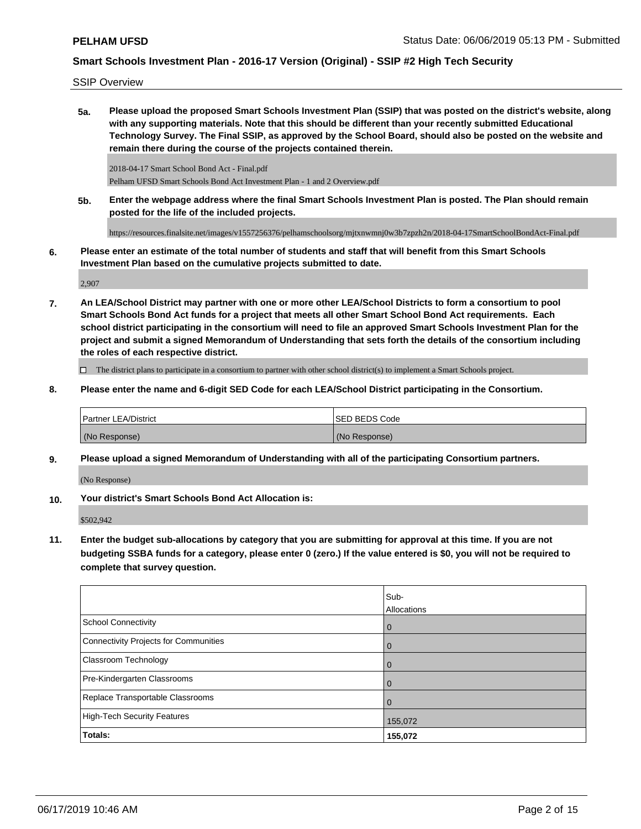SSIP Overview

**5a. Please upload the proposed Smart Schools Investment Plan (SSIP) that was posted on the district's website, along with any supporting materials. Note that this should be different than your recently submitted Educational Technology Survey. The Final SSIP, as approved by the School Board, should also be posted on the website and remain there during the course of the projects contained therein.**

2018-04-17 Smart School Bond Act - Final.pdf Pelham UFSD Smart Schools Bond Act Investment Plan - 1 and 2 Overview.pdf

**5b. Enter the webpage address where the final Smart Schools Investment Plan is posted. The Plan should remain posted for the life of the included projects.**

https://resources.finalsite.net/images/v1557256376/pelhamschoolsorg/mjtxnwmnj0w3b7zpzh2n/2018-04-17SmartSchoolBondAct-Final.pdf

**6. Please enter an estimate of the total number of students and staff that will benefit from this Smart Schools Investment Plan based on the cumulative projects submitted to date.**

2,907

**7. An LEA/School District may partner with one or more other LEA/School Districts to form a consortium to pool Smart Schools Bond Act funds for a project that meets all other Smart School Bond Act requirements. Each school district participating in the consortium will need to file an approved Smart Schools Investment Plan for the project and submit a signed Memorandum of Understanding that sets forth the details of the consortium including the roles of each respective district.**

 $\Box$  The district plans to participate in a consortium to partner with other school district(s) to implement a Smart Schools project.

**8. Please enter the name and 6-digit SED Code for each LEA/School District participating in the Consortium.**

| <b>Partner LEA/District</b> | ISED BEDS Code |
|-----------------------------|----------------|
| (No Response)               | (No Response)  |

**9. Please upload a signed Memorandum of Understanding with all of the participating Consortium partners.**

(No Response)

**10. Your district's Smart Schools Bond Act Allocation is:**

\$502,942

**11. Enter the budget sub-allocations by category that you are submitting for approval at this time. If you are not budgeting SSBA funds for a category, please enter 0 (zero.) If the value entered is \$0, you will not be required to complete that survey question.**

|                                              | Sub-<br>Allocations |
|----------------------------------------------|---------------------|
| <b>School Connectivity</b>                   | $\overline{0}$      |
| <b>Connectivity Projects for Communities</b> | $\overline{0}$      |
| <b>Classroom Technology</b>                  | $\overline{0}$      |
| Pre-Kindergarten Classrooms                  | 0                   |
| Replace Transportable Classrooms             | $\overline{0}$      |
| <b>High-Tech Security Features</b>           | 155,072             |
| Totals:                                      | 155,072             |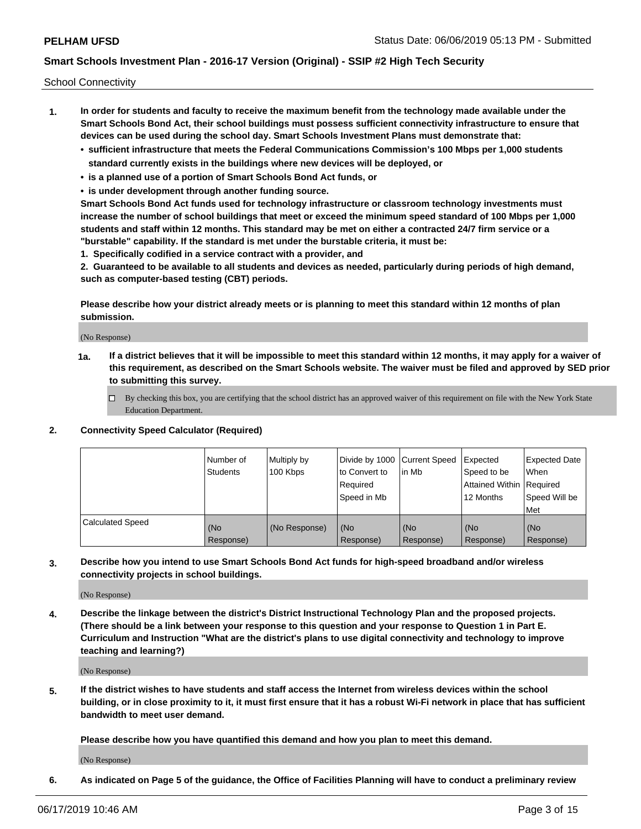School Connectivity

- **1. In order for students and faculty to receive the maximum benefit from the technology made available under the Smart Schools Bond Act, their school buildings must possess sufficient connectivity infrastructure to ensure that devices can be used during the school day. Smart Schools Investment Plans must demonstrate that:**
	- **• sufficient infrastructure that meets the Federal Communications Commission's 100 Mbps per 1,000 students standard currently exists in the buildings where new devices will be deployed, or**
	- **• is a planned use of a portion of Smart Schools Bond Act funds, or**
	- **• is under development through another funding source.**

**Smart Schools Bond Act funds used for technology infrastructure or classroom technology investments must increase the number of school buildings that meet or exceed the minimum speed standard of 100 Mbps per 1,000 students and staff within 12 months. This standard may be met on either a contracted 24/7 firm service or a "burstable" capability. If the standard is met under the burstable criteria, it must be:**

**1. Specifically codified in a service contract with a provider, and**

**2. Guaranteed to be available to all students and devices as needed, particularly during periods of high demand, such as computer-based testing (CBT) periods.**

**Please describe how your district already meets or is planning to meet this standard within 12 months of plan submission.**

(No Response)

**1a. If a district believes that it will be impossible to meet this standard within 12 months, it may apply for a waiver of this requirement, as described on the Smart Schools website. The waiver must be filed and approved by SED prior to submitting this survey.**

 $\Box$  By checking this box, you are certifying that the school district has an approved waiver of this requirement on file with the New York State Education Department.

**2. Connectivity Speed Calculator (Required)**

|                         | l Number of<br><b>Students</b> | Multiply by<br>100 Kbps | Divide by 1000 Current Speed<br>to Convert to<br>Required<br>Speed in Mb | l in Mb          | Expected<br>Speed to be<br>Attained Within   Required<br>12 Months | <b>Expected Date</b><br><b>When</b><br>Speed Will be<br><b>Met</b> |
|-------------------------|--------------------------------|-------------------------|--------------------------------------------------------------------------|------------------|--------------------------------------------------------------------|--------------------------------------------------------------------|
| <b>Calculated Speed</b> | (No<br>Response)               | (No Response)           | (No<br>Response)                                                         | (No<br>Response) | (No<br>Response)                                                   | (No<br>Response)                                                   |

**3. Describe how you intend to use Smart Schools Bond Act funds for high-speed broadband and/or wireless connectivity projects in school buildings.**

(No Response)

**4. Describe the linkage between the district's District Instructional Technology Plan and the proposed projects. (There should be a link between your response to this question and your response to Question 1 in Part E. Curriculum and Instruction "What are the district's plans to use digital connectivity and technology to improve teaching and learning?)**

(No Response)

**5. If the district wishes to have students and staff access the Internet from wireless devices within the school building, or in close proximity to it, it must first ensure that it has a robust Wi-Fi network in place that has sufficient bandwidth to meet user demand.**

**Please describe how you have quantified this demand and how you plan to meet this demand.**

(No Response)

**6. As indicated on Page 5 of the guidance, the Office of Facilities Planning will have to conduct a preliminary review**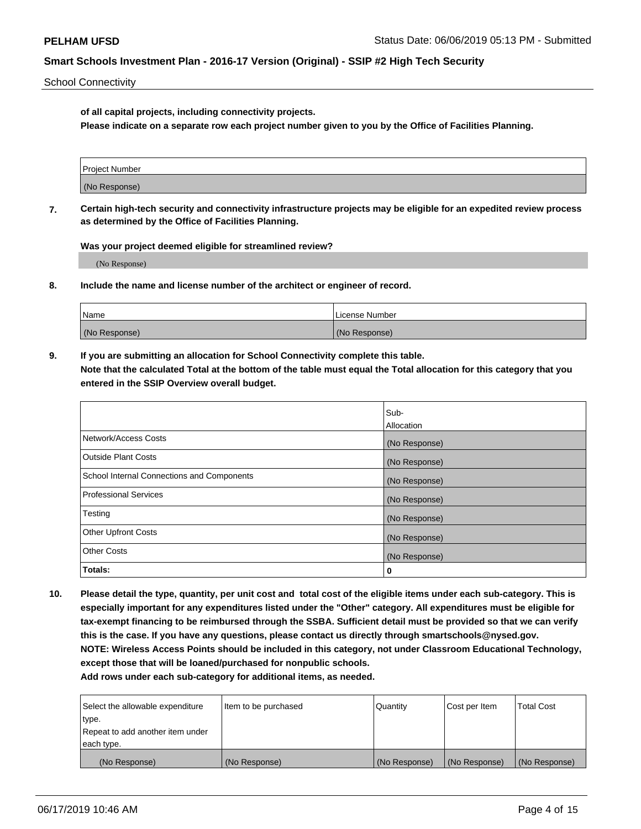School Connectivity

**of all capital projects, including connectivity projects.**

**Please indicate on a separate row each project number given to you by the Office of Facilities Planning.**

| Project Number |  |
|----------------|--|
|                |  |
|                |  |
| (No Response)  |  |
|                |  |

**7. Certain high-tech security and connectivity infrastructure projects may be eligible for an expedited review process as determined by the Office of Facilities Planning.**

**Was your project deemed eligible for streamlined review?**

(No Response)

**8. Include the name and license number of the architect or engineer of record.**

| Name          | License Number |
|---------------|----------------|
| (No Response) | (No Response)  |

**9. If you are submitting an allocation for School Connectivity complete this table. Note that the calculated Total at the bottom of the table must equal the Total allocation for this category that you entered in the SSIP Overview overall budget.** 

|                                            | Sub-              |
|--------------------------------------------|-------------------|
|                                            | <b>Allocation</b> |
| Network/Access Costs                       | (No Response)     |
| <b>Outside Plant Costs</b>                 | (No Response)     |
| School Internal Connections and Components | (No Response)     |
| <b>Professional Services</b>               | (No Response)     |
| Testing                                    | (No Response)     |
| <b>Other Upfront Costs</b>                 | (No Response)     |
| <b>Other Costs</b>                         | (No Response)     |
| Totals:                                    | 0                 |

**10. Please detail the type, quantity, per unit cost and total cost of the eligible items under each sub-category. This is especially important for any expenditures listed under the "Other" category. All expenditures must be eligible for tax-exempt financing to be reimbursed through the SSBA. Sufficient detail must be provided so that we can verify this is the case. If you have any questions, please contact us directly through smartschools@nysed.gov. NOTE: Wireless Access Points should be included in this category, not under Classroom Educational Technology, except those that will be loaned/purchased for nonpublic schools.**

| Select the allowable expenditure | Item to be purchased | Quantity      | <b>Cost per Item</b> | <b>Total Cost</b> |
|----------------------------------|----------------------|---------------|----------------------|-------------------|
| type.                            |                      |               |                      |                   |
| Repeat to add another item under |                      |               |                      |                   |
| each type.                       |                      |               |                      |                   |
| (No Response)                    | (No Response)        | (No Response) | (No Response)        | (No Response)     |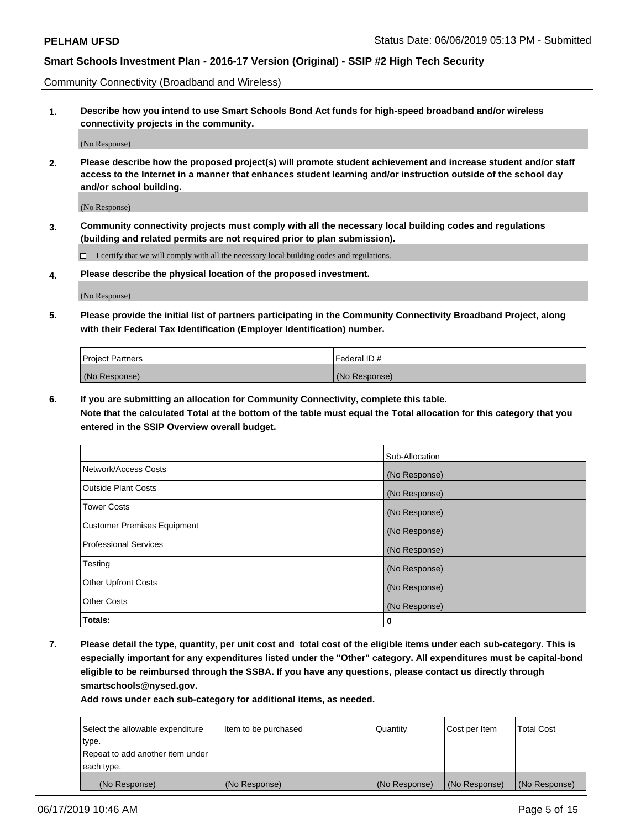Community Connectivity (Broadband and Wireless)

**1. Describe how you intend to use Smart Schools Bond Act funds for high-speed broadband and/or wireless connectivity projects in the community.**

(No Response)

**2. Please describe how the proposed project(s) will promote student achievement and increase student and/or staff access to the Internet in a manner that enhances student learning and/or instruction outside of the school day and/or school building.**

(No Response)

**3. Community connectivity projects must comply with all the necessary local building codes and regulations (building and related permits are not required prior to plan submission).**

 $\Box$  I certify that we will comply with all the necessary local building codes and regulations.

**4. Please describe the physical location of the proposed investment.**

(No Response)

**5. Please provide the initial list of partners participating in the Community Connectivity Broadband Project, along with their Federal Tax Identification (Employer Identification) number.**

| <b>Project Partners</b> | Federal ID#   |
|-------------------------|---------------|
| (No Response)           | (No Response) |

**6. If you are submitting an allocation for Community Connectivity, complete this table.**

**Note that the calculated Total at the bottom of the table must equal the Total allocation for this category that you entered in the SSIP Overview overall budget.**

|                                    | Sub-Allocation |
|------------------------------------|----------------|
| Network/Access Costs               | (No Response)  |
| <b>Outside Plant Costs</b>         | (No Response)  |
| <b>Tower Costs</b>                 | (No Response)  |
| <b>Customer Premises Equipment</b> | (No Response)  |
| <b>Professional Services</b>       | (No Response)  |
| Testing                            | (No Response)  |
| <b>Other Upfront Costs</b>         | (No Response)  |
| <b>Other Costs</b>                 | (No Response)  |
| Totals:                            | 0              |

**7. Please detail the type, quantity, per unit cost and total cost of the eligible items under each sub-category. This is especially important for any expenditures listed under the "Other" category. All expenditures must be capital-bond eligible to be reimbursed through the SSBA. If you have any questions, please contact us directly through smartschools@nysed.gov.**

| Select the allowable expenditure | Item to be purchased | Quantity      | Cost per Item | <b>Total Cost</b> |
|----------------------------------|----------------------|---------------|---------------|-------------------|
| type.                            |                      |               |               |                   |
| Repeat to add another item under |                      |               |               |                   |
| each type.                       |                      |               |               |                   |
| (No Response)                    | (No Response)        | (No Response) | (No Response) | (No Response)     |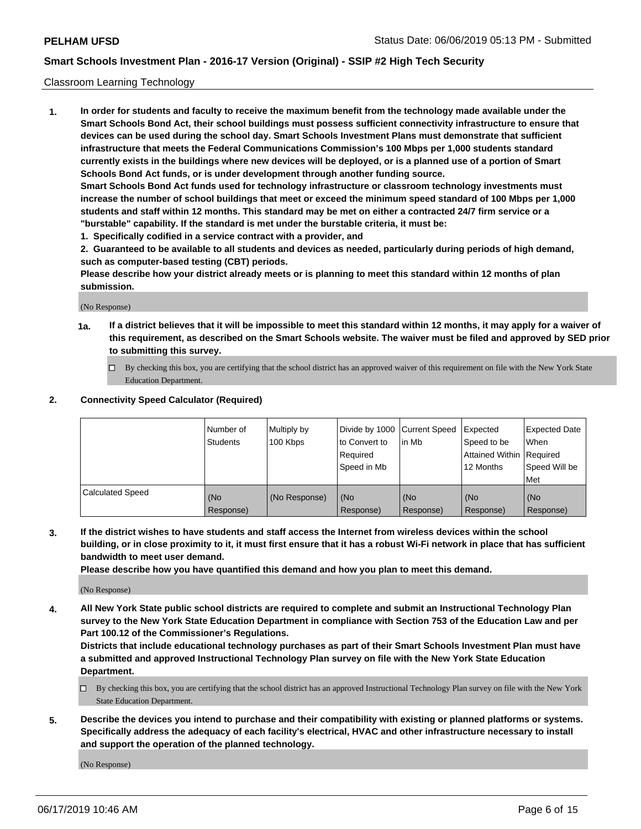### Classroom Learning Technology

**1. In order for students and faculty to receive the maximum benefit from the technology made available under the Smart Schools Bond Act, their school buildings must possess sufficient connectivity infrastructure to ensure that devices can be used during the school day. Smart Schools Investment Plans must demonstrate that sufficient infrastructure that meets the Federal Communications Commission's 100 Mbps per 1,000 students standard currently exists in the buildings where new devices will be deployed, or is a planned use of a portion of Smart Schools Bond Act funds, or is under development through another funding source. Smart Schools Bond Act funds used for technology infrastructure or classroom technology investments must increase the number of school buildings that meet or exceed the minimum speed standard of 100 Mbps per 1,000 students and staff within 12 months. This standard may be met on either a contracted 24/7 firm service or a**

- **"burstable" capability. If the standard is met under the burstable criteria, it must be:**
- **1. Specifically codified in a service contract with a provider, and**

**2. Guaranteed to be available to all students and devices as needed, particularly during periods of high demand, such as computer-based testing (CBT) periods.**

**Please describe how your district already meets or is planning to meet this standard within 12 months of plan submission.**

(No Response)

- **1a. If a district believes that it will be impossible to meet this standard within 12 months, it may apply for a waiver of this requirement, as described on the Smart Schools website. The waiver must be filed and approved by SED prior to submitting this survey.**
	- By checking this box, you are certifying that the school district has an approved waiver of this requirement on file with the New York State Education Department.

#### **2. Connectivity Speed Calculator (Required)**

|                         | I Number of<br>Students | Multiply by<br>100 Kbps | to Convert to<br>Required<br>Speed in Mb | Divide by 1000 Current Speed Expected<br>lin Mb | Speed to be<br>Attained Within Required<br>12 Months | <b>Expected Date</b><br>When<br>Speed Will be<br>Met |
|-------------------------|-------------------------|-------------------------|------------------------------------------|-------------------------------------------------|------------------------------------------------------|------------------------------------------------------|
| <b>Calculated Speed</b> | (No<br>Response)        | (No Response)           | (No<br>Response)                         | (No<br>Response)                                | (No<br>Response)                                     | (No<br>Response)                                     |

**3. If the district wishes to have students and staff access the Internet from wireless devices within the school building, or in close proximity to it, it must first ensure that it has a robust Wi-Fi network in place that has sufficient bandwidth to meet user demand.**

**Please describe how you have quantified this demand and how you plan to meet this demand.**

(No Response)

**4. All New York State public school districts are required to complete and submit an Instructional Technology Plan survey to the New York State Education Department in compliance with Section 753 of the Education Law and per Part 100.12 of the Commissioner's Regulations.**

**Districts that include educational technology purchases as part of their Smart Schools Investment Plan must have a submitted and approved Instructional Technology Plan survey on file with the New York State Education Department.**

- $\Box$  By checking this box, you are certifying that the school district has an approved Instructional Technology Plan survey on file with the New York State Education Department.
- **5. Describe the devices you intend to purchase and their compatibility with existing or planned platforms or systems. Specifically address the adequacy of each facility's electrical, HVAC and other infrastructure necessary to install and support the operation of the planned technology.**

(No Response)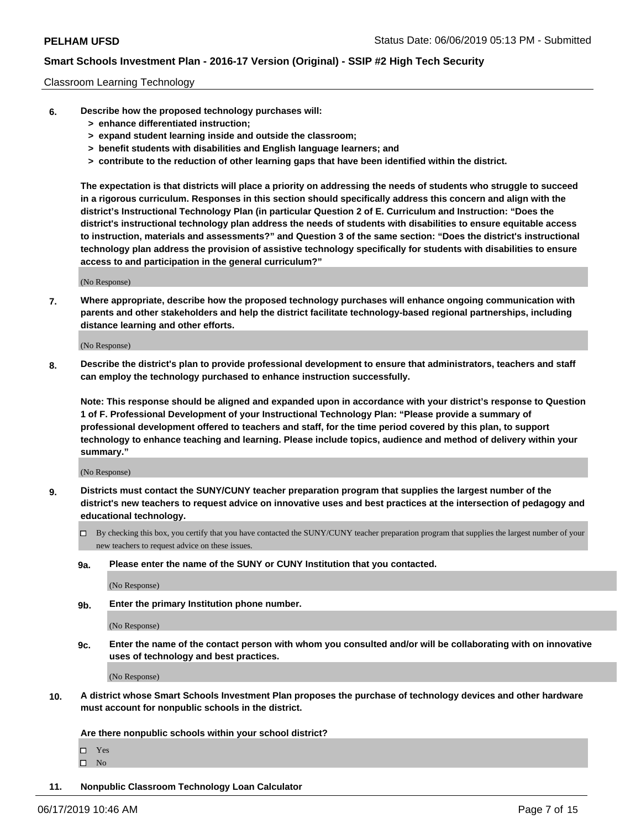#### Classroom Learning Technology

- **6. Describe how the proposed technology purchases will:**
	- **> enhance differentiated instruction;**
	- **> expand student learning inside and outside the classroom;**
	- **> benefit students with disabilities and English language learners; and**
	- **> contribute to the reduction of other learning gaps that have been identified within the district.**

**The expectation is that districts will place a priority on addressing the needs of students who struggle to succeed in a rigorous curriculum. Responses in this section should specifically address this concern and align with the district's Instructional Technology Plan (in particular Question 2 of E. Curriculum and Instruction: "Does the district's instructional technology plan address the needs of students with disabilities to ensure equitable access to instruction, materials and assessments?" and Question 3 of the same section: "Does the district's instructional technology plan address the provision of assistive technology specifically for students with disabilities to ensure access to and participation in the general curriculum?"**

(No Response)

**7. Where appropriate, describe how the proposed technology purchases will enhance ongoing communication with parents and other stakeholders and help the district facilitate technology-based regional partnerships, including distance learning and other efforts.**

(No Response)

**8. Describe the district's plan to provide professional development to ensure that administrators, teachers and staff can employ the technology purchased to enhance instruction successfully.**

**Note: This response should be aligned and expanded upon in accordance with your district's response to Question 1 of F. Professional Development of your Instructional Technology Plan: "Please provide a summary of professional development offered to teachers and staff, for the time period covered by this plan, to support technology to enhance teaching and learning. Please include topics, audience and method of delivery within your summary."**

(No Response)

- **9. Districts must contact the SUNY/CUNY teacher preparation program that supplies the largest number of the district's new teachers to request advice on innovative uses and best practices at the intersection of pedagogy and educational technology.**
	- By checking this box, you certify that you have contacted the SUNY/CUNY teacher preparation program that supplies the largest number of your new teachers to request advice on these issues.
	- **9a. Please enter the name of the SUNY or CUNY Institution that you contacted.**

(No Response)

**9b. Enter the primary Institution phone number.**

(No Response)

**9c. Enter the name of the contact person with whom you consulted and/or will be collaborating with on innovative uses of technology and best practices.**

(No Response)

**10. A district whose Smart Schools Investment Plan proposes the purchase of technology devices and other hardware must account for nonpublic schools in the district.**

**Are there nonpublic schools within your school district?**

Yes

 $\square$  No

**11. Nonpublic Classroom Technology Loan Calculator**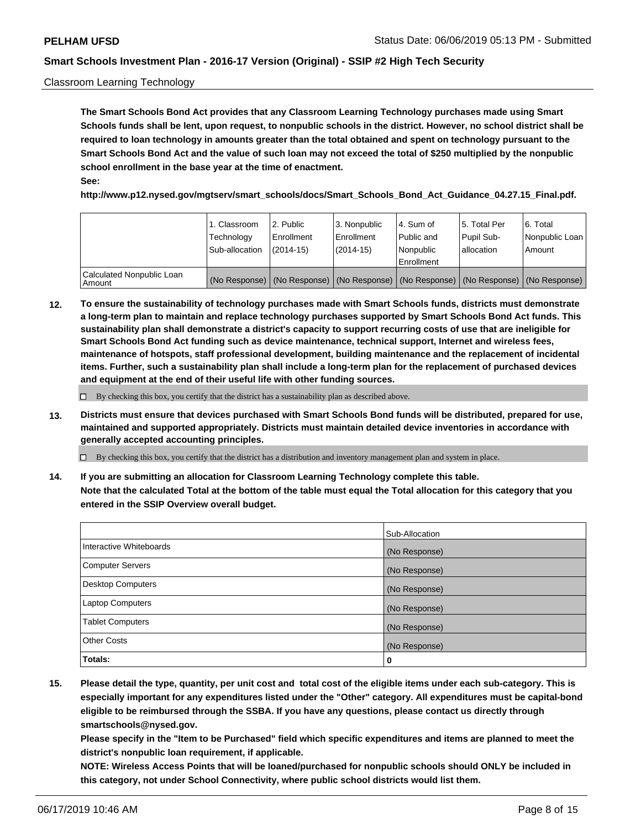### Classroom Learning Technology

**The Smart Schools Bond Act provides that any Classroom Learning Technology purchases made using Smart Schools funds shall be lent, upon request, to nonpublic schools in the district. However, no school district shall be required to loan technology in amounts greater than the total obtained and spent on technology pursuant to the Smart Schools Bond Act and the value of such loan may not exceed the total of \$250 multiplied by the nonpublic school enrollment in the base year at the time of enactment. See:**

**http://www.p12.nysed.gov/mgtserv/smart\_schools/docs/Smart\_Schools\_Bond\_Act\_Guidance\_04.27.15\_Final.pdf.**

|                                       | 1. Classroom<br>Technology<br>Sub-allocation | l 2. Public<br>Enrollment<br>$(2014-15)$ | 3. Nonpublic<br>l Enrollment<br>$(2014-15)$ | l 4. Sum of<br>Public and<br>Nonpublic<br>Enrollment                                          | l 5. Total Per<br>Pupil Sub-<br>l allocation | l 6. Total<br>Nonpublic Loan<br>Amount |
|---------------------------------------|----------------------------------------------|------------------------------------------|---------------------------------------------|-----------------------------------------------------------------------------------------------|----------------------------------------------|----------------------------------------|
| Calculated Nonpublic Loan<br>l Amount |                                              |                                          |                                             | (No Response)   (No Response)   (No Response)   (No Response)   (No Response)   (No Response) |                                              |                                        |

**12. To ensure the sustainability of technology purchases made with Smart Schools funds, districts must demonstrate a long-term plan to maintain and replace technology purchases supported by Smart Schools Bond Act funds. This sustainability plan shall demonstrate a district's capacity to support recurring costs of use that are ineligible for Smart Schools Bond Act funding such as device maintenance, technical support, Internet and wireless fees, maintenance of hotspots, staff professional development, building maintenance and the replacement of incidental items. Further, such a sustainability plan shall include a long-term plan for the replacement of purchased devices and equipment at the end of their useful life with other funding sources.**

 $\Box$  By checking this box, you certify that the district has a sustainability plan as described above.

**13. Districts must ensure that devices purchased with Smart Schools Bond funds will be distributed, prepared for use, maintained and supported appropriately. Districts must maintain detailed device inventories in accordance with generally accepted accounting principles.**

By checking this box, you certify that the district has a distribution and inventory management plan and system in place.

**14. If you are submitting an allocation for Classroom Learning Technology complete this table. Note that the calculated Total at the bottom of the table must equal the Total allocation for this category that you entered in the SSIP Overview overall budget.**

|                         | Sub-Allocation |
|-------------------------|----------------|
| Interactive Whiteboards | (No Response)  |
| Computer Servers        | (No Response)  |
| Desktop Computers       | (No Response)  |
| <b>Laptop Computers</b> | (No Response)  |
| <b>Tablet Computers</b> | (No Response)  |
| <b>Other Costs</b>      | (No Response)  |
| Totals:                 | 0              |

**15. Please detail the type, quantity, per unit cost and total cost of the eligible items under each sub-category. This is especially important for any expenditures listed under the "Other" category. All expenditures must be capital-bond eligible to be reimbursed through the SSBA. If you have any questions, please contact us directly through smartschools@nysed.gov.**

**Please specify in the "Item to be Purchased" field which specific expenditures and items are planned to meet the district's nonpublic loan requirement, if applicable.**

**NOTE: Wireless Access Points that will be loaned/purchased for nonpublic schools should ONLY be included in this category, not under School Connectivity, where public school districts would list them.**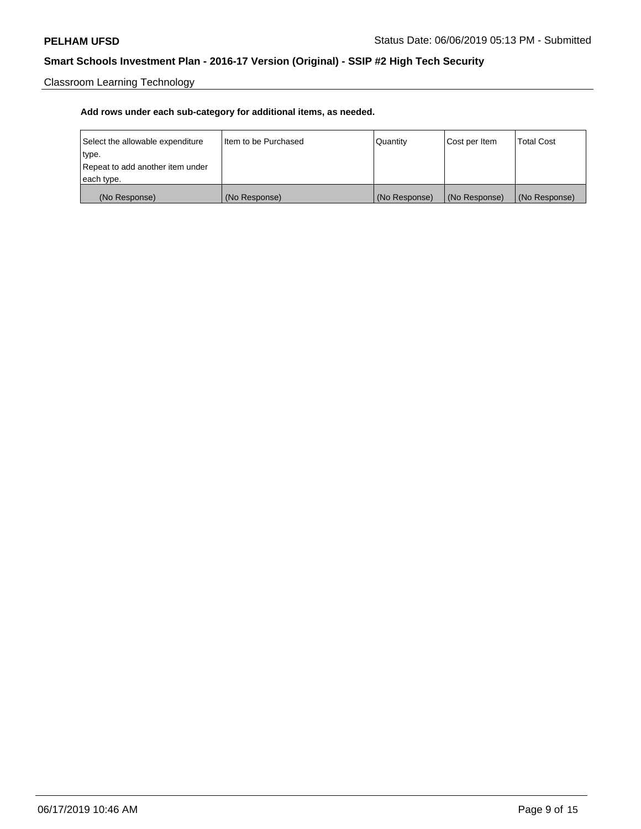Classroom Learning Technology

| Select the allowable expenditure | Iltem to be Purchased | Quantity      | Cost per Item | <b>Total Cost</b> |
|----------------------------------|-----------------------|---------------|---------------|-------------------|
| type.                            |                       |               |               |                   |
| Repeat to add another item under |                       |               |               |                   |
| each type.                       |                       |               |               |                   |
| (No Response)                    | (No Response)         | (No Response) | (No Response) | (No Response)     |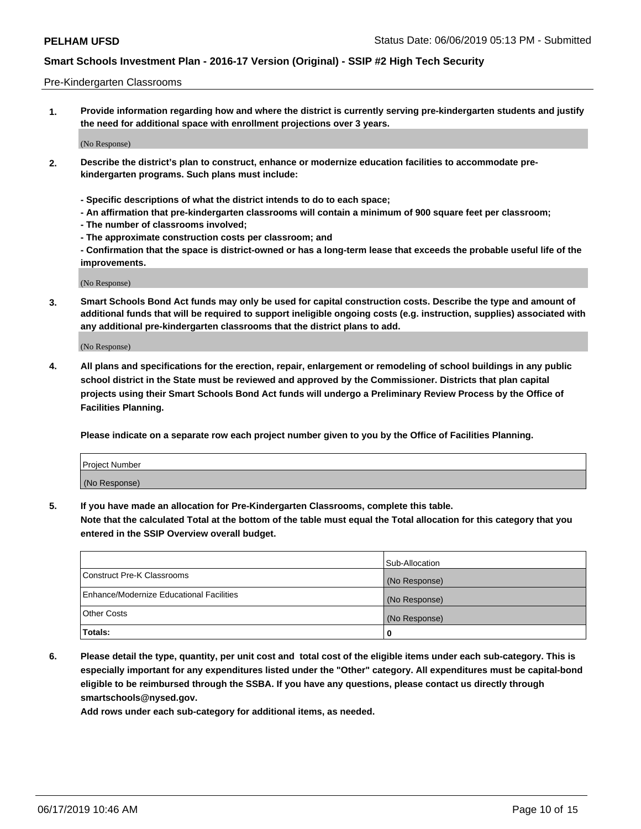#### Pre-Kindergarten Classrooms

**1. Provide information regarding how and where the district is currently serving pre-kindergarten students and justify the need for additional space with enrollment projections over 3 years.**

(No Response)

- **2. Describe the district's plan to construct, enhance or modernize education facilities to accommodate prekindergarten programs. Such plans must include:**
	- **Specific descriptions of what the district intends to do to each space;**
	- **An affirmation that pre-kindergarten classrooms will contain a minimum of 900 square feet per classroom;**
	- **The number of classrooms involved;**
	- **The approximate construction costs per classroom; and**
	- **Confirmation that the space is district-owned or has a long-term lease that exceeds the probable useful life of the improvements.**

(No Response)

**3. Smart Schools Bond Act funds may only be used for capital construction costs. Describe the type and amount of additional funds that will be required to support ineligible ongoing costs (e.g. instruction, supplies) associated with any additional pre-kindergarten classrooms that the district plans to add.**

(No Response)

**4. All plans and specifications for the erection, repair, enlargement or remodeling of school buildings in any public school district in the State must be reviewed and approved by the Commissioner. Districts that plan capital projects using their Smart Schools Bond Act funds will undergo a Preliminary Review Process by the Office of Facilities Planning.**

**Please indicate on a separate row each project number given to you by the Office of Facilities Planning.**

| Project Number |  |
|----------------|--|
| (No Response)  |  |
|                |  |

**5. If you have made an allocation for Pre-Kindergarten Classrooms, complete this table.**

**Note that the calculated Total at the bottom of the table must equal the Total allocation for this category that you entered in the SSIP Overview overall budget.**

|                                          | Sub-Allocation |
|------------------------------------------|----------------|
| Construct Pre-K Classrooms               | (No Response)  |
| Enhance/Modernize Educational Facilities | (No Response)  |
| <b>Other Costs</b>                       | (No Response)  |
| Totals:                                  | 0              |

**6. Please detail the type, quantity, per unit cost and total cost of the eligible items under each sub-category. This is especially important for any expenditures listed under the "Other" category. All expenditures must be capital-bond eligible to be reimbursed through the SSBA. If you have any questions, please contact us directly through smartschools@nysed.gov.**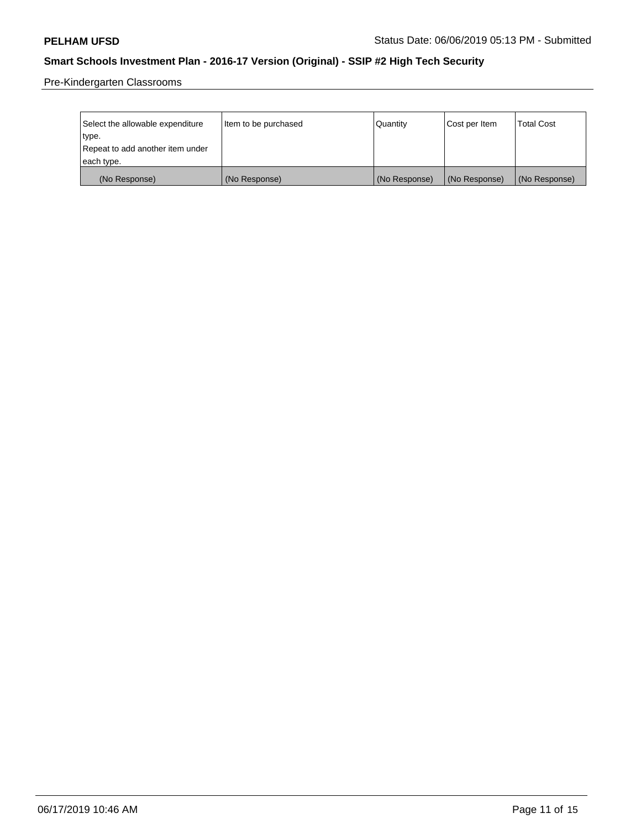Pre-Kindergarten Classrooms

| Select the allowable expenditure | Item to be purchased | Quantity      | Cost per Item | <b>Total Cost</b> |
|----------------------------------|----------------------|---------------|---------------|-------------------|
| type.                            |                      |               |               |                   |
| Repeat to add another item under |                      |               |               |                   |
| each type.                       |                      |               |               |                   |
| (No Response)                    | (No Response)        | (No Response) | (No Response) | (No Response)     |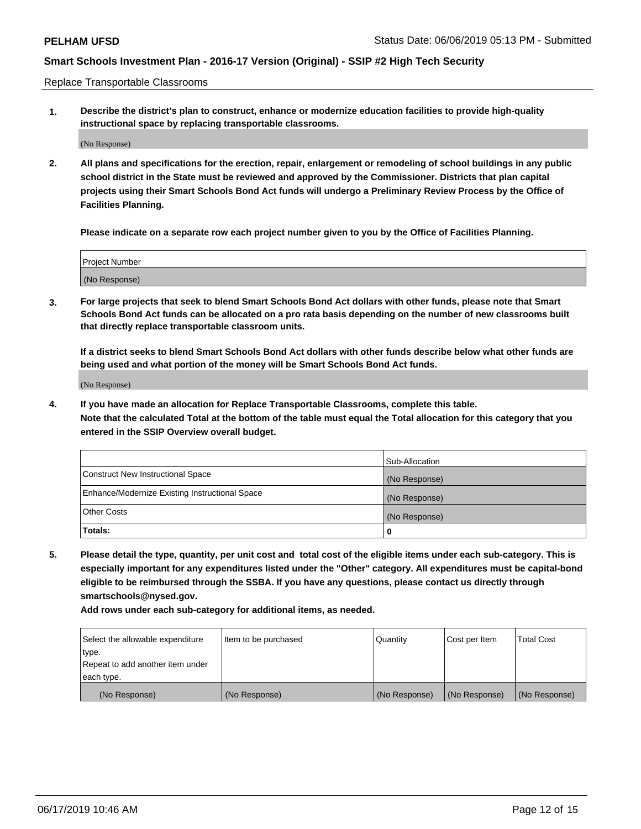Replace Transportable Classrooms

**1. Describe the district's plan to construct, enhance or modernize education facilities to provide high-quality instructional space by replacing transportable classrooms.**

(No Response)

**2. All plans and specifications for the erection, repair, enlargement or remodeling of school buildings in any public school district in the State must be reviewed and approved by the Commissioner. Districts that plan capital projects using their Smart Schools Bond Act funds will undergo a Preliminary Review Process by the Office of Facilities Planning.**

**Please indicate on a separate row each project number given to you by the Office of Facilities Planning.**

| Project Number |  |
|----------------|--|
|                |  |
| (No Response)  |  |

**3. For large projects that seek to blend Smart Schools Bond Act dollars with other funds, please note that Smart Schools Bond Act funds can be allocated on a pro rata basis depending on the number of new classrooms built that directly replace transportable classroom units.**

**If a district seeks to blend Smart Schools Bond Act dollars with other funds describe below what other funds are being used and what portion of the money will be Smart Schools Bond Act funds.**

(No Response)

**4. If you have made an allocation for Replace Transportable Classrooms, complete this table. Note that the calculated Total at the bottom of the table must equal the Total allocation for this category that you entered in the SSIP Overview overall budget.**

|                                                | Sub-Allocation |
|------------------------------------------------|----------------|
| Construct New Instructional Space              | (No Response)  |
| Enhance/Modernize Existing Instructional Space | (No Response)  |
| <b>Other Costs</b>                             | (No Response)  |
| Totals:                                        | 0              |

**5. Please detail the type, quantity, per unit cost and total cost of the eligible items under each sub-category. This is especially important for any expenditures listed under the "Other" category. All expenditures must be capital-bond eligible to be reimbursed through the SSBA. If you have any questions, please contact us directly through smartschools@nysed.gov.**

| Select the allowable expenditure | Item to be purchased | l Quantitv    | Cost per Item | <b>Total Cost</b> |
|----------------------------------|----------------------|---------------|---------------|-------------------|
| type.                            |                      |               |               |                   |
| Repeat to add another item under |                      |               |               |                   |
| each type.                       |                      |               |               |                   |
| (No Response)                    | (No Response)        | (No Response) | (No Response) | (No Response)     |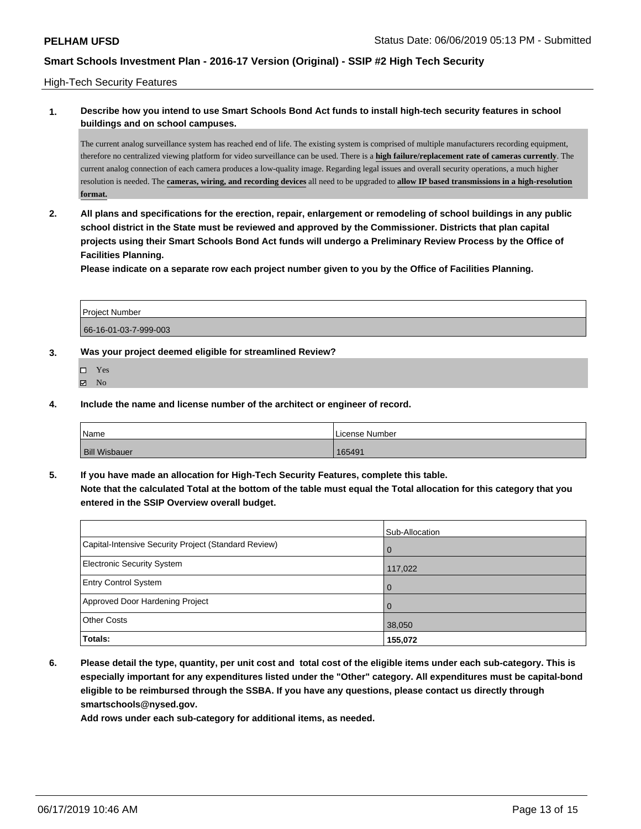### High-Tech Security Features

### **1. Describe how you intend to use Smart Schools Bond Act funds to install high-tech security features in school buildings and on school campuses.**

The current analog surveillance system has reached end of life. The existing system is comprised of multiple manufacturers recording equipment, therefore no centralized viewing platform for video surveillance can be used. There is a **high failure/replacement rate of cameras currently**. The current analog connection of each camera produces a low-quality image. Regarding legal issues and overall security operations, a much higher resolution is needed. The **cameras, wiring, and recording devices** all need to be upgraded to **allow IP based transmissions in a high-resolution format.**

**2. All plans and specifications for the erection, repair, enlargement or remodeling of school buildings in any public school district in the State must be reviewed and approved by the Commissioner. Districts that plan capital projects using their Smart Schools Bond Act funds will undergo a Preliminary Review Process by the Office of Facilities Planning.** 

**Please indicate on a separate row each project number given to you by the Office of Facilities Planning.**

| <b>Project Number</b> |  |
|-----------------------|--|
| 66-16-01-03-7-999-003 |  |

### **3. Was your project deemed eligible for streamlined Review?**

- □ Yes  $\boxtimes$  No
- **4. Include the name and license number of the architect or engineer of record.**

| Name                 | License Number |
|----------------------|----------------|
| <b>Bill Wisbauer</b> | 165491         |

**5. If you have made an allocation for High-Tech Security Features, complete this table. Note that the calculated Total at the bottom of the table must equal the Total allocation for this category that you entered in the SSIP Overview overall budget.**

|                                                      | Sub-Allocation |
|------------------------------------------------------|----------------|
| Capital-Intensive Security Project (Standard Review) | $\Omega$       |
| <b>Electronic Security System</b>                    | 117,022        |
| <b>Entry Control System</b>                          | $\Omega$       |
| Approved Door Hardening Project                      | $\Omega$       |
| <b>Other Costs</b>                                   | 38,050         |
| Totals:                                              | 155,072        |

**6. Please detail the type, quantity, per unit cost and total cost of the eligible items under each sub-category. This is especially important for any expenditures listed under the "Other" category. All expenditures must be capital-bond eligible to be reimbursed through the SSBA. If you have any questions, please contact us directly through smartschools@nysed.gov.**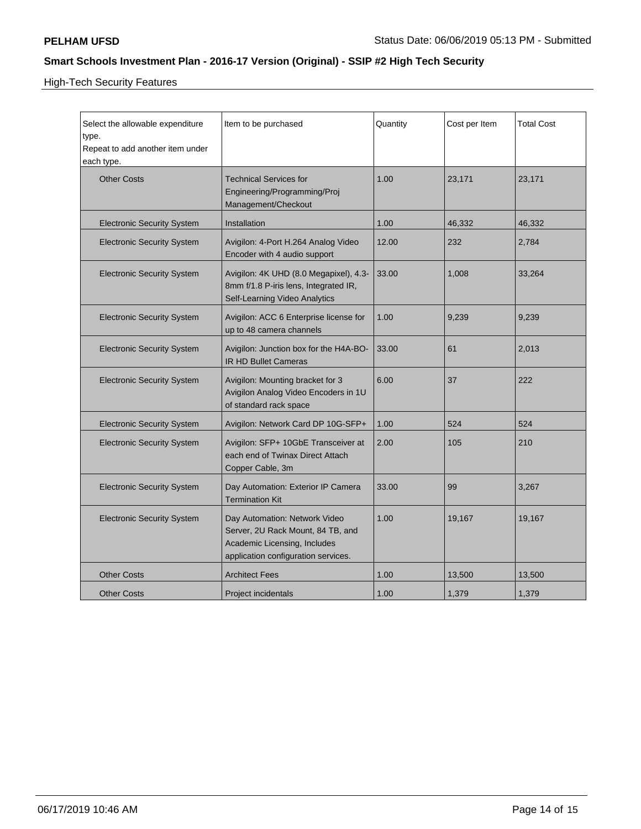High-Tech Security Features

| Select the allowable expenditure<br>type.<br>Repeat to add another item under<br>each type. | Item to be purchased                                                                                                                      | Quantity | Cost per Item | <b>Total Cost</b> |
|---------------------------------------------------------------------------------------------|-------------------------------------------------------------------------------------------------------------------------------------------|----------|---------------|-------------------|
| <b>Other Costs</b>                                                                          | <b>Technical Services for</b><br>Engineering/Programming/Proj<br>Management/Checkout                                                      | 1.00     | 23,171        | 23,171            |
| <b>Electronic Security System</b>                                                           | Installation                                                                                                                              | 1.00     | 46,332        | 46,332            |
| <b>Electronic Security System</b>                                                           | Avigilon: 4-Port H.264 Analog Video<br>Encoder with 4 audio support                                                                       | 12.00    | 232           | 2,784             |
| <b>Electronic Security System</b>                                                           | Avigilon: 4K UHD (8.0 Megapixel), 4.3-<br>8mm f/1.8 P-iris lens, Integrated IR,<br>Self-Learning Video Analytics                          | 33.00    | 1,008         | 33,264            |
| <b>Electronic Security System</b>                                                           | Avigilon: ACC 6 Enterprise license for<br>up to 48 camera channels                                                                        | 1.00     | 9,239         | 9,239             |
| <b>Electronic Security System</b>                                                           | Avigilon: Junction box for the H4A-BO-<br><b>IR HD Bullet Cameras</b>                                                                     | 33.00    | 61            | 2,013             |
| <b>Electronic Security System</b>                                                           | Avigilon: Mounting bracket for 3<br>Avigilon Analog Video Encoders in 1U<br>of standard rack space                                        | 6.00     | 37            | 222               |
| <b>Electronic Security System</b>                                                           | Avigilon: Network Card DP 10G-SFP+                                                                                                        | 1.00     | 524           | 524               |
| <b>Electronic Security System</b>                                                           | Avigilon: SFP+ 10GbE Transceiver at<br>each end of Twinax Direct Attach<br>Copper Cable, 3m                                               | 2.00     | 105           | 210               |
| <b>Electronic Security System</b>                                                           | Day Automation: Exterior IP Camera<br><b>Termination Kit</b>                                                                              | 33.00    | 99            | 3,267             |
| <b>Electronic Security System</b>                                                           | Day Automation: Network Video<br>Server, 2U Rack Mount, 84 TB, and<br>Academic Licensing, Includes<br>application configuration services. | 1.00     | 19,167        | 19,167            |
| <b>Other Costs</b>                                                                          | <b>Architect Fees</b>                                                                                                                     | 1.00     | 13,500        | 13,500            |
| <b>Other Costs</b>                                                                          | Project incidentals                                                                                                                       | 1.00     | 1,379         | 1,379             |